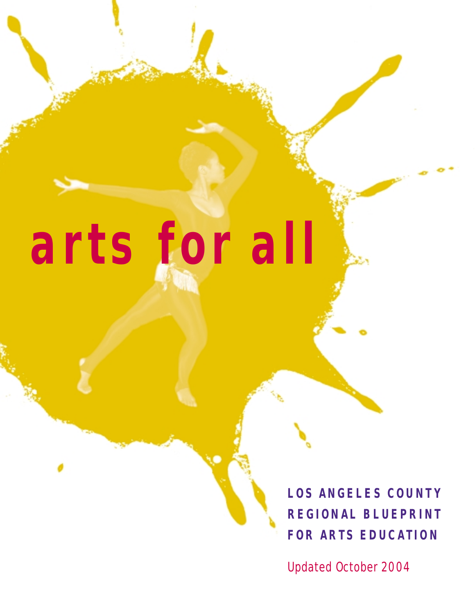# **arts for all**

**LOS ANGELES COUNTY REGIONAL BLUEPRINT FOR ARTS EDUCATION**

Updated October 2004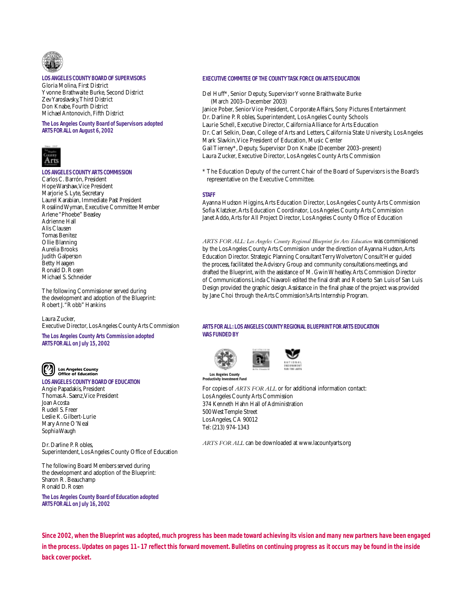

#### **LOS ANGELES COUNTY BOARD OF SUPERVISORS**

Gloria Molina, First District Yvonne Brathwaite Burke, Second District Zev Yaroslavsky,Third District Don Knabe, Fourth District Michael Antonovich, Fifth District

**The Los Angeles County Board of Supervisors adopted**  *ARTS FOR ALL* **on August 6, 2002**



#### **LOS ANGELES COUNTY ARTS COMMISSION**

Carlos C. Barrón, President Hope Warshaw,Vice President Marjorie S. Lyte, Secretary Laurel Karabian, Immediate Past President Rosalind Wyman, Executive Committee Member Arlene "Phoebe" Beasley Adrienne Hall Alis Clausen Tomas Benitez Ollie Blanning Aurelia Brooks Judith Galperson Betty Haagen Ronald D. Rosen Michael S. Schneider

The following Commissioner served during the development and adoption of the Blueprint: Robert J."Robb" Hankins

Laura Zucker, Executive Director, Los Angeles County Arts Commission

**The Los Angeles County Arts Commission adopted**  *ARTS FOR ALL* **on July 15, 2002**



**LOS ANGELES COUNTY BOARD OF EDUCATION** Angie Papadakis, President Thomas A. Saenz,Vice President Joan Acosta Rudell S. Freer Leslie K. Gilbert-Lurie Mary Anne O'Neal Sophia Waugh

Dr. Darline P. Robles, Superintendent, Los Angeles County Office of Education

The following Board Members served during the development and adoption of the Blueprint: Sharon R. Beauchamp Ronald D. Rosen

**The Los Angeles County Board of Education adopted**  *ARTS FOR ALL* **on July 16, 2002**

#### **EXECUTIVE COMMITEE OF THE COUNTY TASK FORCE ON ARTS EDUCATION**

Del Huff\*, Senior Deputy, Supervisor Yvonne Braithwaite Burke (March 2003–December 2003) Janice Pober, Senior Vice President, Corporate Affairs, Sony Pictures Entertainment Dr. Darline P. Robles, Superintendent, Los Angeles County Schools Laurie Schell, Executive Director, California Alliance for Arts Education Dr. Carl Selkin, Dean, College of Arts and Letters, California State University, Los Angeles Mark Slavkin,Vice President of Education, Music Center

Gail Tierney\*, Deputy, Supervisor Don Knabe (December 2003–present) Laura Zucker, Executive Director, Los Angeles County Arts Commission

\* The Education Deputy of the current Chair of the Board of Supervisors is the Board's representative on the Executive Committee.

#### **STAFF**

Ayanna Hudson Higgins,Arts Education Director, Los Angeles County Arts Commission Sofia Klatzker,Arts Education Coordinator, Los Angeles County Arts Commission Janet Addo, Arts for All Project Director, Los Angeles County Office of Education

*ARTS FOR ALL: Los Angeles County Regional Blueprint for Arts Education* was commissioned by the Los Angeles County Arts Commission under the direction of Ayanna Hudson, Arts Education Director. Strategic Planning Consultant Terry Wolverton/Consult'Her guided the process, facilitated the Advisory Group and community consultations meetings, and drafted the Blueprint, with the assistance of M. Gwin Wheatley.Arts Commission Director of Communications Linda Chiavaroli edited the final draft and Roberto San Luis of San Luis Design provided the graphic design.Assistance in the final phase of the project was provided by Jane Choi through the Arts Commission's Arts Internship Program.

#### *ARTS FOR ALL: LOS ANGELES COUNTY REGIONAL BLUEPRINT FOR ARTS EDUCATION* **WAS FUNDED BY**





**Los Angeles County Productivity Investment Fund**

For copies of *ARTS FOR ALL* or for additional information contact: Los Angeles County Arts Commission 374 Kenneth Hahn Hall of Administration 500 West Temple Street Los Angeles, CA 90012 Tel: (213) 974-1343

*ARTS FOR ALL* can be downloaded at www.lacountyarts.org

*Since 2002, when the Blueprint was adopted, much progress has been made toward achieving its vision and many new partners have been engaged in the process. Updates on pages 11–17 reflect this forward movement. Bulletins on continuing progress as it occurs may be found in the inside back cover pocket.*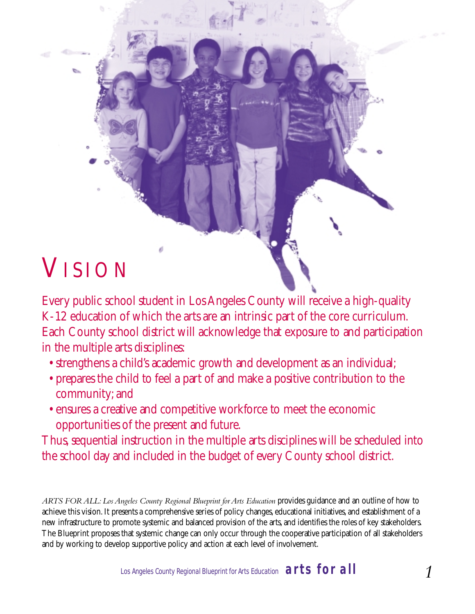# VISION

Every public school student in Los Angeles County will receive a high-quality K-12 education of which the arts are an intrinsic part of the core curriculum. Each County school district will acknowledge that exposure to and participation in the multiple arts disciplines:

- strengthens a child's academic growth and development as an individual;
- prepares the child to feel a part of and make a positive contribution to the community; and
- ensures a creative and competitive workforce to meet the economic opportunities of the present and future.

Thus, sequential instruction in the multiple arts disciplines will be scheduled into the school day and included in the budget of every County school district.

*ARTS FOR ALL: Los Angeles County Regional Blueprint for Arts Education* provides guidance and an outline of how to achieve this vision. It presents a comprehensive series of policy changes, educational initiatives, and establishment of a new infrastructure to promote systemic and balanced provision of the arts, and identifies the roles of key stakeholders. The Blueprint proposes that systemic change can only occur through the cooperative participation of all stakeholders and by working to develop supportive policy and action at each level of involvement.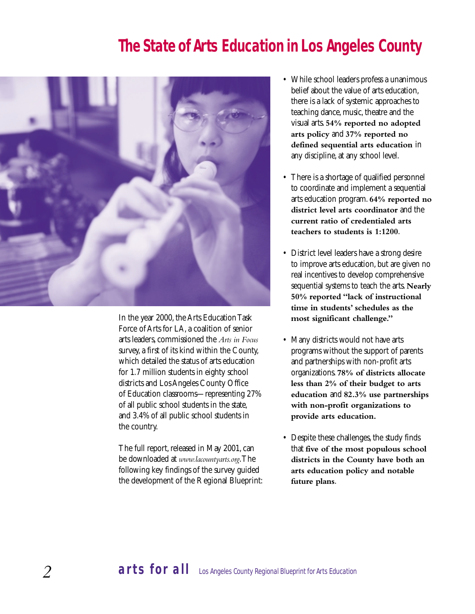## **The State of Arts Education in Los Angeles County**



In the year 2000, the Arts Education Task Force of Arts for LA, a coalition of senior arts leaders, commissioned the *Arts in Focus* survey, a first of its kind within the County, which detailed the status of arts education for 1.7 million students in eighty school districts and Los Angeles County Office of Education classrooms—representing 27% of all public school students in the state, and 3.4% of all public school students in the country.

The full report, released in May 2001, can be downloaded at *www.lacountyarts.org*.The following key findings of the survey guided the development of the Regional Blueprint:

- While school leaders profess a unanimous belief about the value of arts education, there is a lack of systemic approaches to teaching dance, music, theatre and the visual arts. **54% reported no adopted arts policy** and **37% reported no defined sequential arts education** in any discipline, at any school level.
- There is a shortage of qualified personnel to coordinate and implement a sequential arts education program. **64% reported no district level arts coordinator** and the **current ratio of credentialed arts teachers to students is 1:1200**.
- District level leaders have a strong desire to improve arts education, but are given no real incentives to develop comprehensive sequential systems to teach the arts. **Nearly 50% reported "lack of instructional time in students' schedules as the most significant challenge."**
- Many districts would not have arts programs without the support of parents and partnerships with non-profit arts organizations. **78% of districts allocate less than 2% of their budget to arts education** and **82.3% use partnerships with non-profit organizations to provide arts education.**
- Despite these challenges, the study finds that **five of the most populous school districts in the County have both an arts education policy and notable future plans**.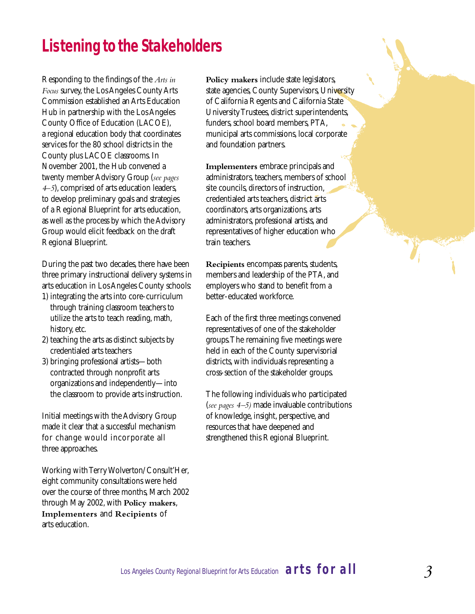## **Listening to the Stakeholders**

Responding to the findings of the *Arts in Focus* survey, the Los Angeles County Arts Commission established an Arts Education Hub in partnership with the Los Angeles County Office of Education (LACOE), a regional education body that coordinates services for the 80 school districts in the County plus LACOE classrooms. In November 2001, the Hub convened a twenty member Advisory Group (*see pages 4–5*), comprised of arts education leaders, to develop preliminary goals and strategies of a Regional Blueprint for arts education, as well as the process by which the Advisory Group would elicit feedback on the draft Regional Blueprint.

During the past two decades, there have been three primary instructional delivery systems in arts education in Los Angeles County schools:

- 1) integrating the arts into core-curriculum through training classroom teachers to utilize the arts to teach reading, math, history, etc.
- 2) teaching the arts as distinct subjects by credentialed arts teachers
- 3) bringing professional artists—both contracted through nonprofit arts organizations and independently—into the classroom to provide arts instruction.

Initial meetings with the Advisory Group made it clear that a successful mechanism for change would incorporate all three approaches.

Working with Terry Wolverton/Consult'Her, eight community consultations were held over the course of three months, March 2002 through May 2002, with **Policy makers**, **Implementers** and **Recipients** of arts education.

**Policy makers** include state legislators, state agencies, County Supervisors, University of California Regents and California State University Trustees, district superintendents, funders, school board members, PTA, municipal arts commissions, local corporate and foundation partners.

**Implementers** embrace principals and administrators, teachers, members of school site councils, directors of instruction, credentialed arts teachers, district arts coordinators, arts organizations, arts administrators, professional artists, and representatives of higher education who train teachers.

**Recipients** encompass parents, students, members and leadership of the PTA, and employers who stand to benefit from a better-educated workforce.

Each of the first three meetings convened representatives of one of the stakeholder groups.The remaining five meetings were held in each of the County supervisorial districts, with individuals representing a cross-section of the stakeholder groups.

The following individuals who participated (*see pages 4–5)* made invaluable contributions of knowledge, insight, perspective, and resources that have deepened and strengthened this Regional Blueprint.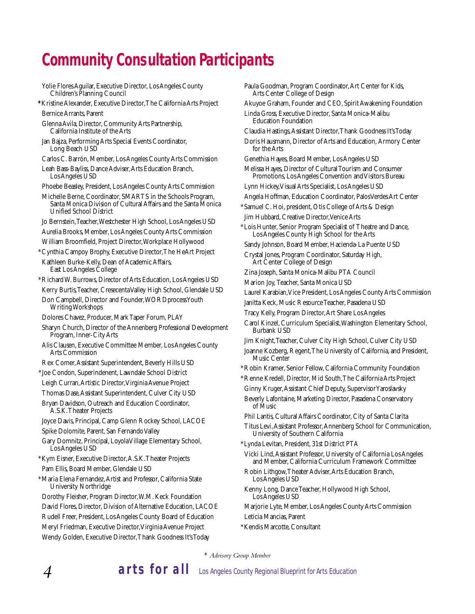## **Community Consultation Participants**

Yolie Flores Aguilar, Executive Director, Los Angeles County Children's Planning Council \*Kristine Alexander, Executive Director,The California Arts Project Bernice Arrants, Parent Glenna Avila, Director, Community Arts Partnership, California Institute of the Arts Jan Bajza, Performing Arts Special Events Coordinator, Long Beach USD Carlos C. Barrón, Member, Los Angeles County Arts Commission Leah Bass-Bayliss, Dance Adviser,Arts Education Branch, Los Angeles USD Phoebe Beasley, President, Los Angeles County Arts Commission Michelle Berne, Coordinator, SMARTS in the Schools Program, Santa Monica Division of Cultural Affairs and the Santa Monica Unified School District Jo Bernstein,Teacher,Westchester High School, Los Angeles USD Aurelia Brooks, Member, Los Angeles County Arts Commission William Broomfield, Project Director,Workplace Hollywood \*Cynthia Campoy Brophy, Executive Director,The HeArt Project Kathleen Burke-Kelly, Dean of Academic Affairs, East Los Angeles College \*Richard W. Burrows, Director of Arts Education, Los Angeles USD Kerry Burtis,Teacher, Cresecenta Valley High School, Glendale USD Don Campbell, Director and Founder,WORDprocess Youth Writing Workshops Dolores Chavez, Producer, Mark Taper Forum, PLAY Sharyn Church, Director of the Annenberg Professional Development Program, Inner-City Arts Alis Clausen, Executive Committee Member, Los Angeles County Arts Commission Rex Comer,Assistant Superintendent, Beverly Hills USD \*Joe Condon, Superindenent, Lawndale School District Leigh Curran,Artistic Director,Virginia Avenue Project Thomas Dase,Assistant Superintendent, Culver City USD Bryan Davidson, Outreach and Education Coordinator, A.S.K.Theater Projects Joyce Davis, Principal, Camp Glenn Rockey School, LACOE Spike Dolomite, Parent, San Fernando Valley Gary Domnitz, Principal, Loyola Village Elementary School, Los Angeles USD \*Kym Eisner, Executive Director,A.S.K.Theater Projects Pam Ellis, Board Member, Glendale USD \*Maria Elena Fernandez,Artist and Professor, California State University Northridge Dorothy Fleisher, Program Director,W.M. Keck Foundation David Flores, Director, Division of Alternative Education, LACOE Rudell Freer, President, Los Angeles County Board of Education Meryl Friedman, Executive Director,Virginia Avenue Project Wendy Golden, Executive Director,Thank Goodness It's Today

Paula Goodman, Program Coordinator,Art Center for Kids, Arts Center College of Design Akuyoe Graham, Founder and CEO, Spirit Awakening Foundation Linda Gross, Executive Director, Santa Monica-Malibu Education Foundation Claudia Hastings,Assistant Director,Thank Goodness It's Today Doris Hausmann, Director of Arts and Education, Armory Center for the Arts Genethia Hayes, Board Member, Los Angeles USD Melissa Hayes, Director of Cultural Tourism and Consumer Promotions, Los Angeles Convention and Visitors Bureau Lynn Hickey,Visual Arts Specialist, Los Angeles USD Angela Hoffman, Education Coordinator, Palos Verdes Art Center \*Samuel C. Hoi, president, Otis College of Arts & Design Jim Hubbard, Creative Director,Venice Arts \*Lois Hunter, Senior Program Specialist of Theatre and Dance, Los Angeles County High School for the Arts Sandy Johnson, Board Member, Hacienda-La Puente USD Crystal Jones, Program Coordinator, Saturday High, Art Center College of Design Zina Joseph, Santa Monica-Malibu PTA Council Marion Joy, Teacher, Santa Monica USD Laurel Karabian,Vice President, Los Angeles County Arts Commission Janitta Keck, Music Resource Teacher, Pasadena USD Tracy Kelly, Program Director,Art Share Los Angeles Carol Kinzel, Curriculum Specialist,Washington Elementary School, Burbank USD Jim Knight,Teacher, Culver City High School, Culver City USD Joanne Kozberg, Regent,The University of California, and President, Music Center \*Robin Kramer, Senior Fellow, California Community Foundation \*Renne Kredell, Director, Mid South,The California Arts Project Ginny Kruger,Assistant Chief Deputy, Supervisor Yaroslavsky Beverly Lafontaine, Marketing Director, Pasadena Conservatory of Music Phil Lantis, Cultural Affairs Coordinator, City of Santa Clarita Titus Levi,Assistant Professor,Annenberg School for Communication, University of Southern California \*Lynda Levitan, President, 31st District PTA Vicki Lind,Assistant Professor, University of California Los Angeles and Member, California Curriculum Framework Committee Robin Lithgow,Theater Adviser,Arts Education Branch, Los Angeles USD Kenny Long, Dance Teacher, Hollywood High School, Los Angeles USD Marjorie Lyte, Member, Los Angeles County Arts Commission Leticia Mancias, Parent \*Kendis Marcotte, Consultant

\* *Advisory Group Member*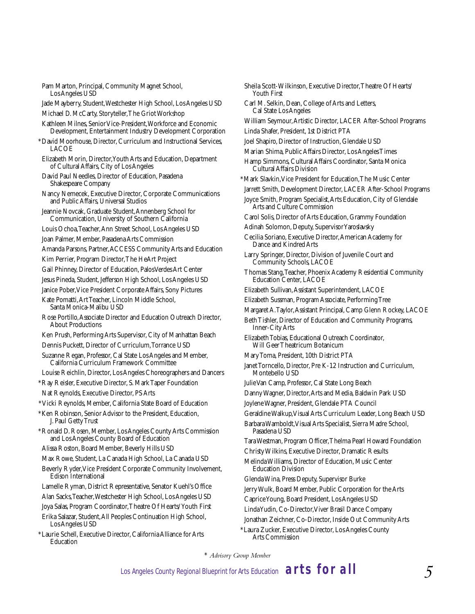Pam Marton, Principal, Community Magnet School, Los Angeles USD

Jade Mayberry, Student,Westchester High School, Los Angeles USD

Michael D. McCarty, Storyteller,The Griot Workshop

- Kathleen Milnes, Senior Vice-President,Workforce and Economic Development, Entertainment Industry Development Corporation
- \*David Moorhouse, Director, Curriculum and Instructional Services, LACOE
- Elizabeth Morin, Director,Youth Arts and Education, Department of Cultural Affairs, City of Los Angeles
- David Paul Needles, Director of Education, Pasadena Shakespeare Company
- Nancy Nemecek, Executive Director, Corporate Communications and Public Affairs, Universal Studios
- Jeannie Novcak, Graduate Student,Annenberg School for Communication, University of Southern California
- Louis Ochoa,Teacher,Ann Street School, Los Angeles USD
- Joan Palmer, Member, Pasadena Arts Commission
- Amanda Parsons, Partner,ACCESS Community Arts and Education
- Kim Perrier, Program Director,The HeArt Project
- Gail Phinney, Director of Education, Palos Verdes Art Center
- Jesus Pineda, Student, Jefferson High School, Los Angeles USD
- Janice Pober,Vice President Corporate Affairs, Sony Pictures
- Kate Pomatti,Art Teacher, Lincoln Middle School, Santa Monica-Malibu USD
- Rose Portillo,Associate Director and Education Outreach Director, About Productions
- Ken Prush, Performing Arts Supervisor, City of Manhattan Beach
- Dennis Puckett, Director of Curriculum,Torrance USD
- Suzanne Regan, Professor, Cal State Los Angeles and Member, California Curriculum Framework Committee
- Louise Reichlin, Director, Los Angeles Choreographers and Dancers
- \*Ray Reisler, Executive Director, S. Mark Taper Foundation Nat Reynolds, Executive Director, PS Arts
- \*Vicki Reynolds, Member, California State Board of Education
- \*Ken Robinson, Senior Advisor to the President, Education, J. Paul Getty Trust
- \*Ronald D. Rosen, Member, Los Angeles County Arts Commission and Los Angeles County Board of Education
- Alissa Roston, Board Member, Beverly Hills USD
- Max Rowe, Student, La Canada High School, La Canada USD
- Beverly Ryder,Vice President Corporate Community Involvement, Edison International
- Lamelle Ryman, District Representative, Senator Kuehl's Office Alan Sacks,Teacher,Westchester High School, Los Angeles USD
- Joya Salas, Program Coordinator,Theatre Of Hearts/Youth First
- Erika Salazar, Student,All Peoples Continuation High School, Los Angeles USD
- \*Laurie Schell, Executive Director, California Alliance for Arts Education
- Sheila Scott-Wilkinson, Executive Director,Theatre Of Hearts/ Youth First Carl M. Selkin, Dean, College of Arts and Letters, Cal State Los Angeles William Seymour,Artistic Director, LACER After-School Programs Linda Shafer, President, 1st District PTA Joel Shapiro, Director of Instruction, Glendale USD Marian Shima, Public Affairs Director, Los Angeles Times Hamp Simmons, Cultural Affairs Coordinator, Santa Monica Cultural Affairs Division \*Mark Slavkin,Vice President for Education,The Music Center Jarrett Smith, Development Director, LACER After-School Programs Joyce Smith, Program Specialist,Arts Education, City of Glendale Arts and Culture Commission Carol Solis, Director of Arts Education, Grammy Foundation Adinah Solomon, Deputy, Supervisor Yaroslavsky Cecilia Soriano, Executive Director,American Academy for Dance and Kindred Arts Larry Springer, Director, Division of Juvenile Court and Community Schools, LACOE Thomas Stang,Teacher, Phoenix Academy Residential Community Education Center, LACOE Elizabeth Sullivan,Assistant Superintendent, LACOE Elizabeth Sussman, Program Associate, Performing Tree Margaret A.Taylor,Assistant Principal, Camp Glenn Rockey, LACOE Beth Tishler, Director of Education and Community Programs, Inner-City Arts Elizabeth Tobias, Educational Outreach Coordinator, Will Geer Theatricum Botanicum Mary Toma, President, 10th District PTA Janet Torncello, Director, Pre K-12 Instruction and Curriculum, Montebello USD Julie Van Camp, Professor, Cal State Long Beach Danny Wagner, Director,Arts and Media, Baldwin Park USD Joylene Wagner, President, Glendale PTA Council Geraldine Walkup,Visual Arts Curriculum Leader, Long Beach USD Barbara Wamboldt,Visual Arts Specialist, Sierra Madre School, Pasadena USD Tara Westman, Program Officer,Thelma Pearl Howard Foundation Christy Wilkins, Executive Director, Dramatic Results Melinda Williams, Director of Education, Music Center Education Division Glenda Wina, Press Deputy, Supervisor Burke Jerry Wulk, Board Member, Public Corporation for the Arts
- Caprice Young, Board President, Los Angeles USD
- Linda Yudin, Co-Director,Viver Brasil Dance Company
- Jonathan Zeichner, Co-Director, Inside Out Community Arts
- \*Laura Zucker, Executive Director, Los Angeles County Arts Commission

\* *Advisory Group Member*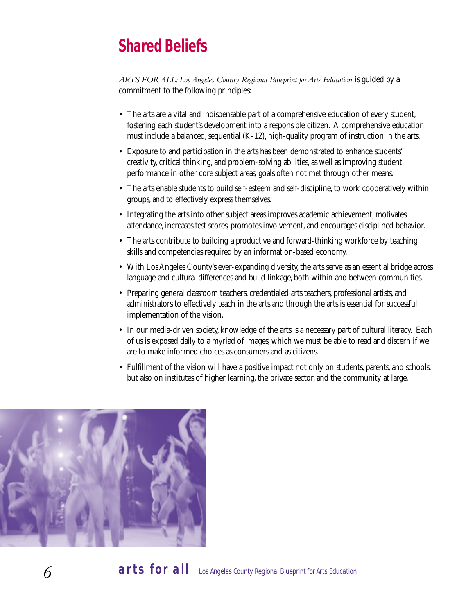## **Shared Beliefs**

*ARTS FOR ALL: Los Angeles County Regional Blueprint for Arts Education* is guided by a commitment to the following principles:

- The arts are a vital and indispensable part of a comprehensive education of every student, fostering each student's development into a responsible citizen. A comprehensive education must include a balanced, sequential (K-12), high-quality program of instruction in the arts.
- Exposure to and participation in the arts has been demonstrated to enhance students' creativity, critical thinking, and problem-solving abilities, as well as improving student performance in other core subject areas, goals often not met through other means.
- The arts enable students to build self-esteem and self-discipline, to work cooperatively within groups, and to effectively express themselves.
- Integrating the arts into other subject areas improves academic achievement, motivates attendance, increases test scores, promotes involvement, and encourages disciplined behavior.
- The arts contribute to building a productive and forward-thinking workforce by teaching skills and competencies required by an information-based economy.
- With Los Angeles County's ever-expanding diversity, the arts serve as an essential bridge across language and cultural differences and build linkage, both within and between communities.
- Preparing general classroom teachers, credentialed arts teachers, professional artists, and administrators to effectively teach in the arts and through the arts is essential for successful implementation of the vision.
- In our media-driven society, knowledge of the arts is a necessary part of cultural literacy. Each of us is exposed daily to a myriad of images, which we must be able to read and discern if we are to make informed choices as consumers and as citizens.
- Fulfillment of the vision will have a positive impact not only on students, parents, and schools, but also on institutes of higher learning, the private sector, and the community at large.

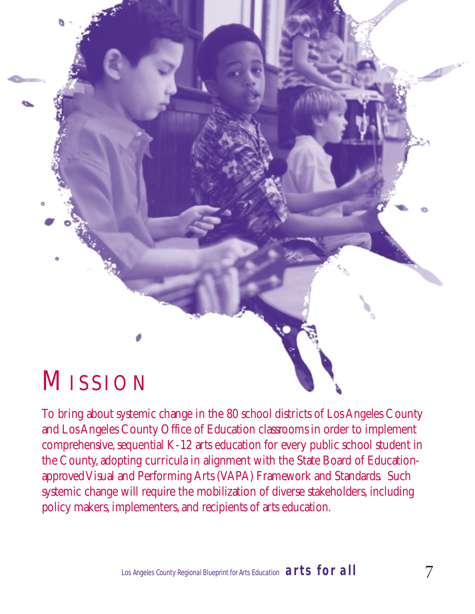## MISSION

To bring about systemic change in the 80 school districts of Los Angeles County and Los Angeles County Office of Education classrooms in order to implement comprehensive, sequential K-12 arts education for every public school student in the County, adopting curricula in alignment with the State Board of Educationapproved Visual and Performing Arts (VAPA) Framework and Standards. Such systemic change will require the mobilization of diverse stakeholders, including policy makers, implementers, and recipients of arts education.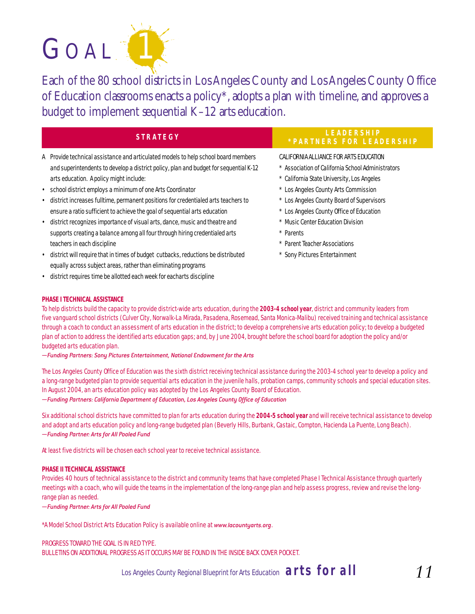

Each of the 80 school districts in Los Angeles County and Los Angeles County Office of Education classrooms enacts a policy\*, adopts a plan with timeline, and approves a budget to implement sequential K–12 arts education.

|           | <b>STRATEGY</b>                                                                       | LEADERSHIP<br>*PARTNERS FOR LEADERSHIP            |
|-----------|---------------------------------------------------------------------------------------|---------------------------------------------------|
|           | A Provide technical assistance and articulated models to help school board members    | CALIFORNIA ALLIANCE FOR ARTS EDUCATION            |
|           | and superintendents to develop a district policy, plan and budget for sequential K-12 | * Association of California School Administrators |
|           | arts education. A policy might include:                                               | * California State University, Los Angeles        |
| $\bullet$ | school district employs a minimum of one Arts Coordinator                             | * Los Angeles County Arts Commission              |
| $\bullet$ | district increases fulltime, permanent positions for credentialed arts teachers to    | * Los Angeles County Board of Supervisors         |
|           | ensure a ratio sufficient to achieve the goal of sequential arts education            | * Los Angeles County Office of Education          |
| $\bullet$ | district recognizes importance of visual arts, dance, music and theatre and           | * Music Center Education Division                 |
|           | supports creating a balance among all four through hiring credentialed arts           | * Parents                                         |
|           | teachers in each discipline                                                           | * Parent Teacher Associations                     |
| $\bullet$ | district will require that in times of budget cutbacks, reductions be distributed     | * Sony Pictures Entertainment                     |
|           | equally across subject areas, rather than eliminating programs                        |                                                   |
| $\bullet$ | district requires time be allotted each week for eacharts discipline                  |                                                   |

#### **PHASE I TECHNICAL ASSISTANCE**

To help districts build the capacity to provide district-wide arts education, during the **2003-4 school year**, district and community leaders from five vanguard school districts (Culver City, Norwalk-La Mirada, Pasadena, Rosemead, Santa Monica-Malibu) received training and technical assistance through a coach to conduct an assessment of arts education in the district; to develop a comprehensive arts education policy; to develop a budgeted plan of action to address the identified arts education gaps; and, by June 2004, brought before the school board for adoption the policy and/or budgeted arts education plan.

—*Funding Partners: Sony Pictures Entertainment, National Endowment for the Arts*

The Los Angeles County Office of Education was the sixth district receiving technical assistance during the 2003-4 school year to develop a policy and a long-range budgeted plan to provide sequential arts education in the juvenile halls, probation camps, community schools and special education sites. In August 2004, an arts education policy was adopted by the Los Angeles County Board of Education.

—*Funding Partners: California Department of Education, Los Angeles County Office of Education*

Six additional school districts have committed to plan for arts education during the **2004-5 school year** and will receive technical assistance to develop and adopt and arts education policy and long-range budgeted plan (Beverly Hills, Burbank, Castaic, Compton, Hacienda La Puente, Long Beach). —*Funding Partner: Arts for All Pooled Fund*

At least five districts will be chosen each school year to receive technical assistance.

#### **PHASE II TECHNICAL ASSISTANCE**

Provides 40 hours of technical assistance to the district and community teams that have completed Phase I Technical Assistance through quarterly meetings with a coach, who will guide the teams in the implementation of the long-range plan and help assess progress, review and revise the longrange plan as needed.

—*Funding Partner: Arts for All Pooled Fund*

\*A Model School District Arts Education Policy is available online at *www.lacountyarts.org*.

#### PROGRESS TOWARD THE GOAL IS IN RED TYPE.

BULLETINS ON ADDITIONAL PROGRESS AS IT OCCURS MAY BE FOUND IN THE INSIDE BACK COVER POCKET.

Los Angeles County Regional Blueprint for Arts Education **arts for all 11**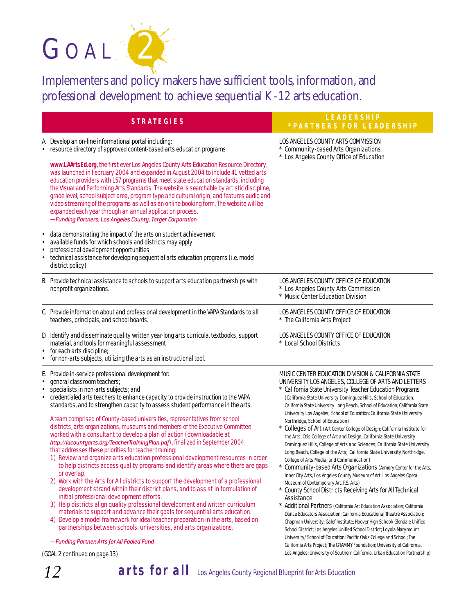

Implementers and policy makers have sufficient tools, information, and professional development to achieve sequential K-12 arts education.

|           | <b>STRATEGIES</b>                                                                                                                                                                                                                                                                                                                                                                                                                                                                                                                                                                                                                                                                                                                                                                                                                                                                | LEADERSHIP<br>*PARTNERS FOR LEADERSHIP                                                                                                                                                                                                                                                                                                                                                                                                                                                                                                                                                                                                                                                                                                                                                                                                                                                                                                              |
|-----------|----------------------------------------------------------------------------------------------------------------------------------------------------------------------------------------------------------------------------------------------------------------------------------------------------------------------------------------------------------------------------------------------------------------------------------------------------------------------------------------------------------------------------------------------------------------------------------------------------------------------------------------------------------------------------------------------------------------------------------------------------------------------------------------------------------------------------------------------------------------------------------|-----------------------------------------------------------------------------------------------------------------------------------------------------------------------------------------------------------------------------------------------------------------------------------------------------------------------------------------------------------------------------------------------------------------------------------------------------------------------------------------------------------------------------------------------------------------------------------------------------------------------------------------------------------------------------------------------------------------------------------------------------------------------------------------------------------------------------------------------------------------------------------------------------------------------------------------------------|
|           | A. Develop an on-line informational portal including:<br>resource directory of approved content-based arts education programs                                                                                                                                                                                                                                                                                                                                                                                                                                                                                                                                                                                                                                                                                                                                                    | LOS ANGELES COUNTY ARTS COMMISSION<br>Community-based Arts Organizations<br>* Los Angeles County Office of Education                                                                                                                                                                                                                                                                                                                                                                                                                                                                                                                                                                                                                                                                                                                                                                                                                                |
|           | www.LAArtsEd.org, the first ever Los Angeles County Arts Education Resource Directory,<br>was launched in February 2004 and expanded in August 2004 to include 41 vetted arts<br>education providers with 157 programs that meet state education standards, including<br>the Visual and Performing Arts Standards. The website is searchable by artistic discipline,<br>grade level, school subject area, program type and cultural origin, and features audio and<br>video streaming of the programs as well as an online booking form. The website will be<br>expanded each year through an annual application process.<br>-Funding Partners: Los Angeles County, Target Corporation                                                                                                                                                                                           |                                                                                                                                                                                                                                                                                                                                                                                                                                                                                                                                                                                                                                                                                                                                                                                                                                                                                                                                                     |
| $\bullet$ | data demonstrating the impact of the arts on student achievement<br>available funds for which schools and districts may apply<br>professional development opportunities<br>technical assistance for developing sequential arts education programs (i.e. model<br>district policy)                                                                                                                                                                                                                                                                                                                                                                                                                                                                                                                                                                                                |                                                                                                                                                                                                                                                                                                                                                                                                                                                                                                                                                                                                                                                                                                                                                                                                                                                                                                                                                     |
|           | B. Provide technical assistance to schools to support arts education partnerships with<br>nonprofit organizations.                                                                                                                                                                                                                                                                                                                                                                                                                                                                                                                                                                                                                                                                                                                                                               | LOS ANGELES COUNTY OFFICE OF EDUCATION<br>* Los Angeles County Arts Commission<br>* Music Center Education Division                                                                                                                                                                                                                                                                                                                                                                                                                                                                                                                                                                                                                                                                                                                                                                                                                                 |
|           | C. Provide information about and professional development in the VAPA Standards to all<br>teachers, principals, and school boards.                                                                                                                                                                                                                                                                                                                                                                                                                                                                                                                                                                                                                                                                                                                                               | LOS ANGELES COUNTY OFFICE OF EDUCATION<br>* The California Arts Project                                                                                                                                                                                                                                                                                                                                                                                                                                                                                                                                                                                                                                                                                                                                                                                                                                                                             |
| ٠         | D. Identify and disseminate quality written year-long arts curricula, textbooks, support<br>material, and tools for meaningful assessment<br>for each arts discipline;<br>for non-arts subjects, utilizing the arts as an instructional tool.                                                                                                                                                                                                                                                                                                                                                                                                                                                                                                                                                                                                                                    | LOS ANGELES COUNTY OFFICE OF EDUCATION<br>* Local School Districts                                                                                                                                                                                                                                                                                                                                                                                                                                                                                                                                                                                                                                                                                                                                                                                                                                                                                  |
| $\bullet$ | E. Provide in-service professional development for:<br>general classroom teachers;<br>specialists in non-arts subjects; and<br>credentialed arts teachers to enhance capacity to provide instruction to the VAPA<br>standards, and to strengthen capacity to assess student performance in the arts.<br>A team comprised of County-based universities, representatives from school<br>districts, arts organizations, museums and members of the Executive Committee<br>worked with a consultant to develop a plan of action (downloadable at<br>http://lacountyarts.org/TeacherTrainingPlan.pdf), finalized in September 2004,<br>that addresses these priorities for teacher training:<br>1) Review and organize arts education professional development resources in order<br>to help districts access quality programs and identify areas where there are gaps<br>or overlap. | MUSIC CENTER EDUCATION DIVISION & CALIFORNIA STATE<br>UNIVERSITY LOS ANGELES, COLLEGE OF ARTS AND LETTERS<br>California State University Teacher Education Programs<br>(California State University Dominguez Hills, School of Education;<br>California State University Long Beach, School of Education; California State<br>University Los Angeles, School of Education; California State University<br>Northridge, School of Education)<br>Colleges of Art (Art Center College of Design; California Institute for<br>the Arts; Otis College of Art and Design; California State University<br>Dominguez Hills, College of Arts and Sciences; California State University<br>Long Beach, College of the Arts; California State University Northridge,<br>College of Arts Media, and Communication)<br>* Community-based Arts Organizations (Armory Center for the Arts,<br>Inner City Arts, Los Angeles County Museum of Art, Los Angeles Opera, |
|           | 2) Work with the Arts for All districts to support the development of a professional<br>development strand within their district plans, and to assist in formulation of<br>initial professional development efforts.<br>3) Help districts align quality professional development and written curriculum<br>materials to support and advance their goals for sequential arts education.<br>4) Develop a model framework for ideal teacher preparation in the arts, based on<br>partnerships between schools, universities, and arts organizations.<br>—Funding Partner: Arts for All Pooled Fund                                                                                                                                                                                                                                                                                  | Museum of Contemporary Art, P.S. Arts)<br>* County School Districts Receiving Arts for All Technical<br>Assistance<br>* Additional Partners (California Art Education Association; California<br>Dance Educators Association; California Educational Theatre Association;<br>Chapman University; Galef Institute; Hoover High School/ Glendale Unified<br>School District; Los Angeles Unified School District; Loyola Marymount<br>University/School of Education; Pacific Oaks College and School; The                                                                                                                                                                                                                                                                                                                                                                                                                                            |
|           | (GOAL 2 continued on page 13)                                                                                                                                                                                                                                                                                                                                                                                                                                                                                                                                                                                                                                                                                                                                                                                                                                                    | California Arts Project; The GRAMMY Foundation; University of California,<br>Los Angeles; University of Southern California, Urban Education Partnership)                                                                                                                                                                                                                                                                                                                                                                                                                                                                                                                                                                                                                                                                                                                                                                                           |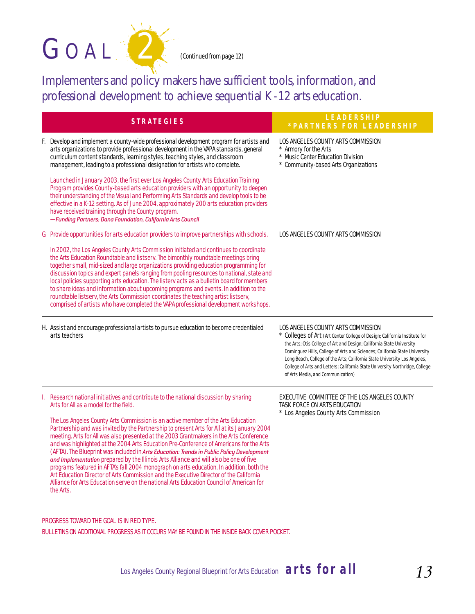

(Continued from page 12)

Implementers and policy makers have sufficient tools, information, and professional development to achieve sequential K-12 arts education.

|    | <b>STRATEGIES</b>                                                                                                                                                                                                                                                                                                                                                                                                                                                                                                                                                                                                                                                                                                                                                                                                                                          | LEADERSHIP<br>*PARTNERS FOR LEADERSHIP                                                                                                                                                                                                                                                                                                                                                                                                                                   |
|----|------------------------------------------------------------------------------------------------------------------------------------------------------------------------------------------------------------------------------------------------------------------------------------------------------------------------------------------------------------------------------------------------------------------------------------------------------------------------------------------------------------------------------------------------------------------------------------------------------------------------------------------------------------------------------------------------------------------------------------------------------------------------------------------------------------------------------------------------------------|--------------------------------------------------------------------------------------------------------------------------------------------------------------------------------------------------------------------------------------------------------------------------------------------------------------------------------------------------------------------------------------------------------------------------------------------------------------------------|
| F. | Develop and implement a county-wide professional development program for artists and<br>arts organizations to provide professional development in the VAPA standards, general<br>curriculum content standards, learning styles, teaching styles, and classroom<br>management, leading to a professional designation for artists who complete.                                                                                                                                                                                                                                                                                                                                                                                                                                                                                                              | LOS ANGELES COUNTY ARTS COMMISSION<br>* Armory for the Arts<br>* Music Center Education Division<br>* Community-based Arts Organizations                                                                                                                                                                                                                                                                                                                                 |
|    | Launched in January 2003, the first ever Los Angeles County Arts Education Training<br>Program provides County-based arts education providers with an opportunity to deepen<br>their understanding of the Visual and Performing Arts Standards and develop tools to be<br>effective in a K-12 setting. As of June 2004, approximately 200 arts education providers<br>have received training through the County program.<br>-Funding Partners: Dana Foundation, California Arts Council                                                                                                                                                                                                                                                                                                                                                                    |                                                                                                                                                                                                                                                                                                                                                                                                                                                                          |
|    | G. Provide opportunities for arts education providers to improve partnerships with schools.                                                                                                                                                                                                                                                                                                                                                                                                                                                                                                                                                                                                                                                                                                                                                                | LOS ANGELES COUNTY ARTS COMMISSION                                                                                                                                                                                                                                                                                                                                                                                                                                       |
|    | In 2002, the Los Angeles County Arts Commission initiated and continues to coordinate<br>the Arts Education Roundtable and listserv. The bimonthly roundtable meetings bring<br>together small, mid-sized and large organizations providing education programming for<br>discussion topics and expert panels ranging from pooling resources to national, state and<br>local policies supporting arts education. The listery acts as a bulletin board for members<br>to share ideas and information about upcoming programs and events. In addition to the<br>roundtable listserv, the Arts Commission coordinates the teaching artist listserv,<br>comprised of artists who have completed the VAPA professional development workshops.                                                                                                                    |                                                                                                                                                                                                                                                                                                                                                                                                                                                                          |
|    | H. Assist and encourage professional artists to pursue education to become credentialed<br>arts teachers                                                                                                                                                                                                                                                                                                                                                                                                                                                                                                                                                                                                                                                                                                                                                   | LOS ANGELES COUNTY ARTS COMMISSION<br>* Colleges of Art (Art Center College of Design; California Institute for<br>the Arts; Otis College of Art and Design; California State University<br>Dominguez Hills, College of Arts and Sciences; California State University<br>Long Beach, College of the Arts; California State University Los Angeles,<br>College of Arts and Letters; California State University Northridge, College<br>of Arts Media, and Communication) |
|    | Research national initiatives and contribute to the national discussion by sharing<br>Arts for All as a model for the field.                                                                                                                                                                                                                                                                                                                                                                                                                                                                                                                                                                                                                                                                                                                               | EXECUTIVE COMMITTEE OF THE LOS ANGELES COUNTY<br>TASK FORCE ON ARTS EDUCATION<br>* Los Angeles County Arts Commission                                                                                                                                                                                                                                                                                                                                                    |
|    | The Los Angeles County Arts Commission is an active member of the Arts Education<br>Partnership and was invited by the Partnership to present Arts for All at its January 2004<br>meeting. Arts for All was also presented at the 2003 Grantmakers in the Arts Conference<br>and was highlighted at the 2004 Arts Education Pre-Conference of Americans for the Arts<br>(AFTA). The Blueprint was included in Arts Education: Trends in Public Policy Development<br>and Implementation prepared by the Illinois Arts Alliance and will also be one of five<br>programs featured in AFTA's fall 2004 monograph on arts education. In addition, both the<br>Art Education Director of Arts Commission and the Executive Director of the California<br>Alliance for Arts Education serve on the national Arts Education Council of American for<br>the Arts. |                                                                                                                                                                                                                                                                                                                                                                                                                                                                          |

PROGRESS TOWARD THE GOAL IS IN RED TYPE.

BULLETINS ON ADDITIONAL PROGRESS AS IT OCCURS MAY BE FOUND IN THE INSIDE BACK COVER POCKET.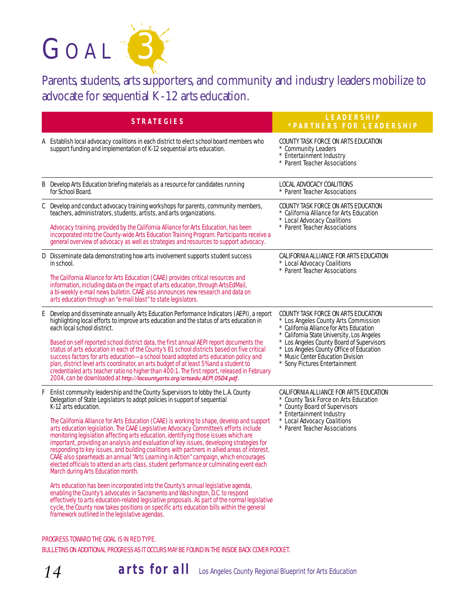

Parents, students, arts supporters, and community and industry leaders mobilize to advocate for sequential K-12 arts education.

|   | <b>STRATEGIES</b>                                                                                                                                                                                                                                                                                                                                                                                                                                                                                                                                                                                                                                                                                                                                                                                                                                                                                                                                                                                                                                                                                                                                                                                                                                                                                               | LEADERSHIP<br>*PARTNERS FOR LEADERSHIP                                                                                                                                                                                                                                                                                   |  |  |
|---|-----------------------------------------------------------------------------------------------------------------------------------------------------------------------------------------------------------------------------------------------------------------------------------------------------------------------------------------------------------------------------------------------------------------------------------------------------------------------------------------------------------------------------------------------------------------------------------------------------------------------------------------------------------------------------------------------------------------------------------------------------------------------------------------------------------------------------------------------------------------------------------------------------------------------------------------------------------------------------------------------------------------------------------------------------------------------------------------------------------------------------------------------------------------------------------------------------------------------------------------------------------------------------------------------------------------|--------------------------------------------------------------------------------------------------------------------------------------------------------------------------------------------------------------------------------------------------------------------------------------------------------------------------|--|--|
|   | A Establish local advocacy coalitions in each district to elect school board members who<br>support funding and implementation of K-12 sequential arts education.                                                                                                                                                                                                                                                                                                                                                                                                                                                                                                                                                                                                                                                                                                                                                                                                                                                                                                                                                                                                                                                                                                                                               | COUNTY TASK FORCE ON ARTS EDUCATION<br><b>Community Leaders</b><br>$\star$<br>Entertainment Industry<br>* Parent Teacher Associations                                                                                                                                                                                    |  |  |
|   | B Develop Arts Education briefing materials as a resource for candidates running<br>for School Board.                                                                                                                                                                                                                                                                                                                                                                                                                                                                                                                                                                                                                                                                                                                                                                                                                                                                                                                                                                                                                                                                                                                                                                                                           | LOCAL ADVOCACY COALITIONS<br>* Parent Teacher Associations                                                                                                                                                                                                                                                               |  |  |
|   | C Develop and conduct advocacy training workshops for parents, community members,<br>teachers, administrators, students, artists, and arts organizations.<br>Advocacy training, provided by the California Alliance for Arts Education, has been<br>incorporated into the County-wide Arts Education Training Program. Participants receive a<br>general overview of advocacy as well as strategies and resources to support advocacy.                                                                                                                                                                                                                                                                                                                                                                                                                                                                                                                                                                                                                                                                                                                                                                                                                                                                          | COUNTY TASK FORCE ON ARTS EDUCATION<br>California Alliance for Arts Education<br>$\star$<br><b>Local Advocacy Coalitions</b><br>* Parent Teacher Associations                                                                                                                                                            |  |  |
|   | D Disseminate data demonstrating how arts involvement supports student success<br>in school.<br>The California Alliance for Arts Education (CAAE) provides critical resources and<br>information, including data on the impact of arts education, through ArtsEdMail,<br>a bi-weekly e-mail news bulletin. CAAE also announces new research and data on<br>arts education through an "e-mail blast" to state legislators.                                                                                                                                                                                                                                                                                                                                                                                                                                                                                                                                                                                                                                                                                                                                                                                                                                                                                       | CALIFORNIA ALLIANCE FOR ARTS EDUCATION<br><b>Local Advocacy Coalitions</b><br><b>Parent Teacher Associations</b>                                                                                                                                                                                                         |  |  |
|   | E Develop and disseminate annually Arts Education Performance Indicators (AEPI), a report<br>highlighting local efforts to improve arts education and the status of arts education in<br>each local school district.<br>Based on self reported school district data, the first annual AEPI report documents the<br>status of arts education in each of the County's 81 school districts based on five critical<br>success factors for arts education-a school board adopted arts education policy and<br>plan, district level arts coordinator, an arts budget of at least 5% and a student to<br>credentialed arts teacher ratio no higher than 400:1. The first report, released in February<br>2004, can be downloaded at http://lacountyarts.org/artsedu AEPI 0504.pdf.                                                                                                                                                                                                                                                                                                                                                                                                                                                                                                                                     | COUNTY TASK FORCE ON ARTS EDUCATION<br>* Los Angeles County Arts Commission<br>California Alliance for Arts Education<br>California State University, Los Angeles<br>Los Angeles County Board of Supervisors<br>Los Angeles County Office of Education<br>Music Center Education Division<br>Sony Pictures Entertainment |  |  |
| F | Enlist community leadership and the County Supervisors to lobby the L.A. County<br>Delegation of State Legislators to adopt policies in support of sequential<br>K-12 arts education.<br>The California Alliance for Arts Education (CAAE) is working to shape, develop and support<br>arts education legislation. The CAAE Legislative Advocacy Committee's efforts include<br>monitoring legislation affecting arts education, identifying those issues which are<br>important, providing an analysis and evaluation of key issues, developing strategies for<br>responding to key issues, and building coalitions with partners in allied areas of interest.<br>CAAE also spearheads an annual "Arts Learning in Action" campaign, which encourages<br>elected officials to attend an arts class, student performance or culminating event each<br>March during Arts Education month.<br>Arts education has been incorporated into the County's annual legislative agenda,<br>enabling the County's advocates in Sacramento and Washington, D.C. to respond<br>effectively to arts education-related legislative proposals. As part of the normal legislative<br>cycle, the County now takes positions on specific arts education bills within the general<br>framework outlined in the legislative agendas. | CALIFORNIA ALLIANCE FOR ARTS EDUCATION<br>County Task Force on Arts Education<br>$\star$<br><b>County Board of Supervisors</b><br>Entertainment Industry<br><b>Local Advocacy Coalitions</b><br>* Parent Teacher Associations                                                                                            |  |  |
|   | PROGRESS TOWARD THE GOAL IS IN RED TYPE.                                                                                                                                                                                                                                                                                                                                                                                                                                                                                                                                                                                                                                                                                                                                                                                                                                                                                                                                                                                                                                                                                                                                                                                                                                                                        |                                                                                                                                                                                                                                                                                                                          |  |  |

BULLETINS ON ADDITIONAL PROGRESS AS IT OCCURS MAY BE FOUND IN THE INSIDE BACK COVER POCKET.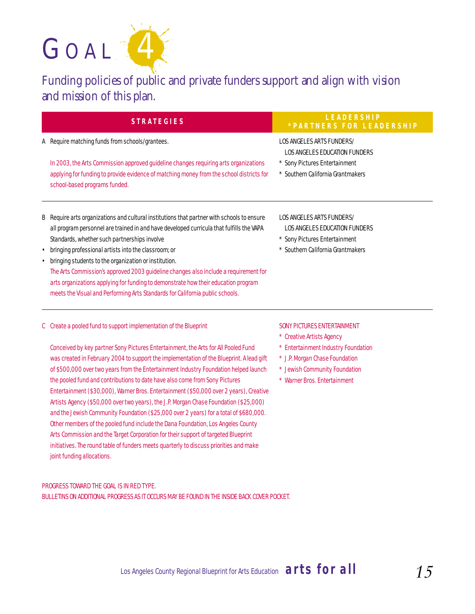

Funding policies of public and private funders support and align with vision and mission of this plan.

|           | <b>STRATEGIES</b>                                                                                                         | LEADERSHIP<br>*PARTNERS FOR LEADERSHIP                                   |
|-----------|---------------------------------------------------------------------------------------------------------------------------|--------------------------------------------------------------------------|
|           | A Require matching funds from schools/grantees.                                                                           | <b>LOS ANGELES ARTS FUNDERS/</b><br><b>LOS ANGELES EDUCATION FUNDERS</b> |
|           | In 2003, the Arts Commission approved guideline changes requiring arts organizations                                      | Sony Pictures Entertainment                                              |
|           | applying for funding to provide evidence of matching money from the school districts for<br>school-based programs funded. | * Southern California Grantmakers                                        |
|           | B Require arts organizations and cultural institutions that partner with schools to ensure                                | LOS ANGELES ARTS FUNDERS/                                                |
|           | all program personnel are trained in and have developed curricula that fulfills the VAPA                                  | <b>LOS ANGELES EDUCATION FUNDERS</b>                                     |
|           | Standards, whether such partnerships involve                                                                              | * Sony Pictures Entertainment                                            |
| ٠         | bringing professional artists into the classroom; or                                                                      | Southern California Grantmakers                                          |
| $\bullet$ | bringing students to the organization or institution.                                                                     |                                                                          |
|           | The Arts Commission's approved 2003 guideline changes also include a requirement for                                      |                                                                          |
|           | arts organizations applying for funding to demonstrate how their education program                                        |                                                                          |
|           | meets the Visual and Performing Arts Standards for California public schools.                                             |                                                                          |
|           | C Create a pooled fund to support implementation of the Blueprint                                                         | <b>SONY PICTURES ENTERTAINMENT</b>                                       |
|           |                                                                                                                           | * Creative Artists Agency                                                |
|           | Conceived by key partner Sony Pictures Entertainment, the Arts for All Pooled Fund                                        | * Entertainment Industry Foundation                                      |
|           | was created in February 2004 to support the implementation of the Blueprint. A lead gift                                  | J.P. Morgan Chase Foundation                                             |
|           | of \$500,000 over two years from the Entertainment Industry Foundation helped launch                                      | * Jewish Community Foundation                                            |
|           | the pooled fund and contributions to date have also come from Sony Pictures                                               | * Warner Bros. Entertainment                                             |
|           | Entertainment (\$30,000), Warner Bros. Entertainment (\$50,000 over 2 years), Creative                                    |                                                                          |
|           | Artists Agency (\$50,000 over two years), the J.P. Morgan Chase Foundation (\$25,000)                                     |                                                                          |
|           | and the Jewish Community Foundation (\$25,000 over 2 years) for a total of \$680,000.                                     |                                                                          |
|           | Other members of the pooled fund include the Dana Foundation, Los Angeles County                                          |                                                                          |
|           | Arts Commission and the Target Corporation for their support of targeted Blueprint                                        |                                                                          |
|           | initiatives. The round table of funders meets quarterly to discuss priorities and make                                    |                                                                          |

PROGRESS TOWARD THE GOAL IS IN RED TYPE.

joint funding allocations.

BULLETINS ON ADDITIONAL PROGRESS AS IT OCCURS MAY BE FOUND IN THE INSIDE BACK COVER POCKET.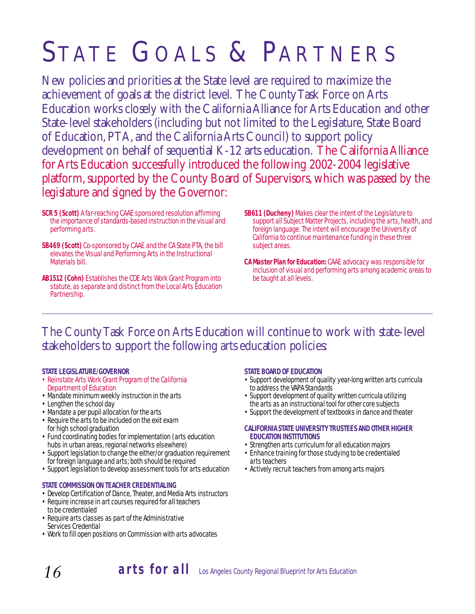# STATE GOALS & PARTNERS

New policies and priorities at the State level are required to maximize the achievement of goals at the district level. The County Task Force on Arts Education works closely with the California Alliance for Arts Education and other State-level stakeholders (including but not limited to the Legislature, State Board of Education, PTA, and the California Arts Council) to support policy development on behalf of sequential K-12 arts education. The California Alliance for Arts Education successfully introduced the following 2002-2004 legislative platform, supported by the County Board of Supervisors, which was passed by the legislature and signed by the Governor:

- **SCR 5 (Scott)** A far-reaching CAAE sponsored resolution affirming the importance of standards-based instruction in the visual and performing arts.
- **SB469 (Scott)** Co-sponsored by CAAE and the CA State PTA, the bill elevates the Visual and Performing Arts in the Instructional Materials bill.
- **AB1512 (Cohn)** Establishes the CDE Arts Work Grant Program into statute, as separate and distinct from the Local Arts Education Partnership.
- **SB611 (Ducheny)** Makes clear the intent of the Legislature to support all Subject Matter Projects, including the arts, health, and foreign language. The intent will encourage the University of California to continue maintenance funding in these three subject areas.
- **CA Master Plan for Education:** CAAE advocacy was responsible for inclusion of visual and performing arts among academic areas to be taught at all levels.

### The County Task Force on Arts Education will continue to work with state-level stakeholders to support the following arts education policies:

#### **STATE LEGISLATURE/GOVERNOR**

- Reinstate Arts Work Grant Program of the California Department of Education
- Mandate minimum weekly instruction in the arts
- Lengthen the school day
- Mandate a per pupil allocation for the arts
- Require the arts to be included on the exit exam for high school graduation
- Fund coordinating bodies for implementation (arts education hubs in urban areas, regional networks elsewhere)
- Support legislation to change the either/or graduation requirement for foreign language and arts; both should be required
- Support legislation to develop assessment tools for arts education

#### **STATE COMMISSION ON TEACHER CREDENTIALING**

- Develop Certification of Dance, Theater, and Media Arts instructors
- Require increase in art courses required for all teachers to be credentialed
- Require arts classes as part of the Administrative Services Credential
- Work to fill open positions on Commission with arts advocates

#### **STATE BOARD OF EDUCATION**

- Support development of quality year-long written arts curricula to address the VAPA Standards
- Support development of quality written curricula utilizing the arts as an instructional tool for other core subjects
- Support the development of textbooks in dance and theater

#### **CALIFORNIA STATE UNIVERSITY TRUSTEES AND OTHER HIGHER EDUCATION INSTITUTIONS**

- Strengthen arts curriculum for all education majors
- Enhance training for those studying to be credentialed arts teachers
- Actively recruit teachers from among arts majors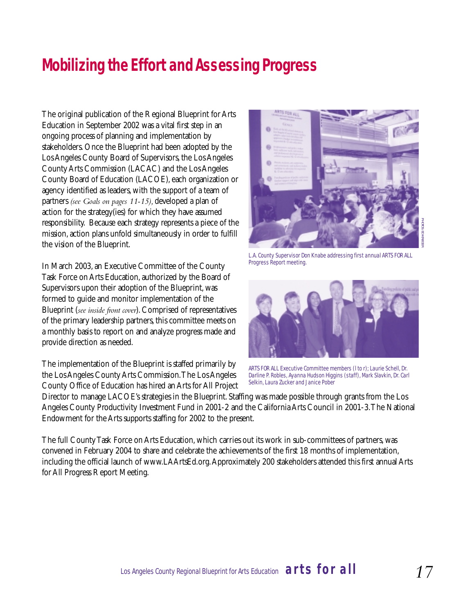## **Mobilizing the Effort and Assessing Progress**

The original publication of the Regional Blueprint for Arts Education in September 2002 was a vital first step in an ongoing process of planning and implementation by stakeholders. Once the Blueprint had been adopted by the Los Angeles County Board of Supervisors, the Los Angeles County Arts Commission (LACAC) and the Los Angeles County Board of Education (LACOE), each organization or agency identified as leaders, with the support of a team of partners *(see Goals on pages 11-15),* developed a plan of action for the strategy(ies) for which they have assumed responsibility. Because each strategy represents a piece of the mission, action plans unfold simultaneously in order to fulfill the vision of the Blueprint.

In March 2003, an Executive Committee of the County Task Force on Arts Education, authorized by the Board of Supervisors upon their adoption of the Blueprint, was formed to guide and monitor implementation of the Blueprint (*see inside front cover*). Comprised of representatives of the primary leadership partners, this committee meets on a monthly basis to report on and analyze progress made and provide direction as needed.

The implementation of the Blueprint is staffed primarily by the Los Angeles County Arts Commission.The Los Angeles County Office of Education has hired an Arts for All Project



L.A. County Supervisor Don Knabe addressing first annual ARTS FOR ALL Progress Report meeting.



ARTS FOR ALL Executive Committee members (l to r); Laurie Schell, Dr. Darline P. Robles, Ayanna Hudson Higgins (staff), Mark Slavkin, Dr. Carl Selkin, Laura Zucker and Janice Pober

Director to manage LACOE's strategies in the Blueprint. Staffing was made possible through grants from the Los Angeles County Productivity Investment Fund in 2001-2 and the California Arts Council in 2001-3.The National Endowment for the Arts supports staffing for 2002 to the present.

The full County Task Force on Arts Education, which carries out its work in sub-committees of partners, was convened in February 2004 to share and celebrate the achievements of the first 18 months of implementation, including the official launch of www.LAArtsEd.org.Approximately 200 stakeholders attended this first annual Arts for All Progress Report Meeting.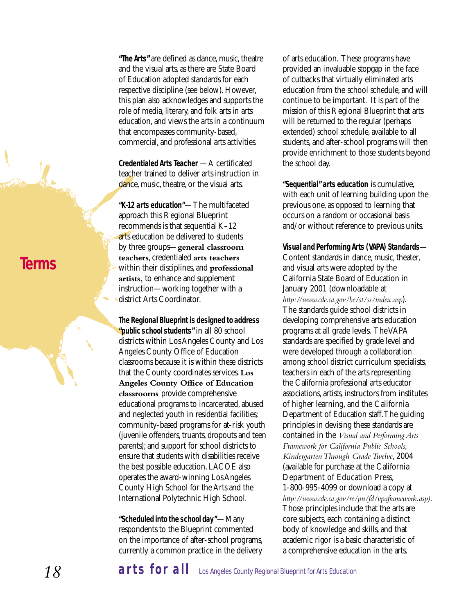**"The Arts"** are defined as dance, music, theatre and the visual arts, as there are State Board of Education adopted standards for each respective discipline (see below). However, this plan also acknowledges and supports the role of media, literary, and folk arts in arts education, and views the arts in a continuum that encompasses community-based, commercial, and professional arts activities.

**Credentialed Arts Teacher** —A certificated teacher trained to deliver arts instruction in dance, music, theatre, or the visual arts.

**"K-12 arts education"**—The multifaceted approach this Regional Blueprint recommends is that sequential K–12 arts education be delivered to students by three groups—**general classroom teachers**, credentialed **arts teachers** within their disciplines, and **professional artists,** to enhance and supplement instruction—working together with a district Arts Coordinator.

**The Regional Blueprint is designed to address "public school students"**in all 80 school districts within Los Angeles County and Los Angeles County Office of Education classrooms because it is within these districts that the County coordinates services.**Los Angeles County Office of Education classrooms** provide comprehensive educational programs to incarcerated, abused and neglected youth in residential facilities; community-based programs for at-risk youth (juvenile offenders, truants, dropouts and teen parents); and support for school districts to ensure that students with disabilities receive the best possible education. LACOE also operates the award-winning Los Angeles County High School for the Arts and the International Polytechnic High School.

**"Scheduled into the school day"**—Many respondents to the Blueprint commented on the importance of after-school programs, currently a common practice in the delivery of arts education. These programs have provided an invaluable stopgap in the face of cutbacks that virtually eliminated arts education from the school schedule, and will continue to be important. It is part of the mission of this Regional Blueprint that arts will be returned to the regular (perhaps extended) school schedule, available to all students, and after-school programs will then provide enrichment to those students beyond the school day.

**"Sequential" arts education** is cumulative, with each unit of learning building upon the previous one, as opposed to learning that occurs on a random or occasional basis and/or without reference to previous units.

**Visual and Performing Arts (VAPA) Standards**— Content standards in dance, music, theater, and visual arts were adopted by the California State Board of Education in January 2001 (downloadable at *http://www.cde.ca.gov/be/st/ss/index.asp*). The standards guide school districts in developing comprehensive arts education programs at all grade levels. The VAPA standards are specified by grade level and were developed through a collaboration among school district curriculum specialists, teachers in each of the arts representing the California professional arts educator associations, artists, instructors from institutes of higher learning, and the California Department of Education staff.The guiding principles in devising these standards are contained in the *Visual and Performing Arts Framework for California Public Schools, Kindergarten Through Grade Twelve*, 2004 (available for purchase at the California Department of Education Press, 1-800-995-4099 or download a copy at *http://www.cde.ca.gov/re/pn/fd/vpaframework.asp)*. Those principles include that the arts are core subjects, each containing a distinct body of knowledge and skills, and that academic rigor is a basic characteristic of a comprehensive education in the arts.

**Terms**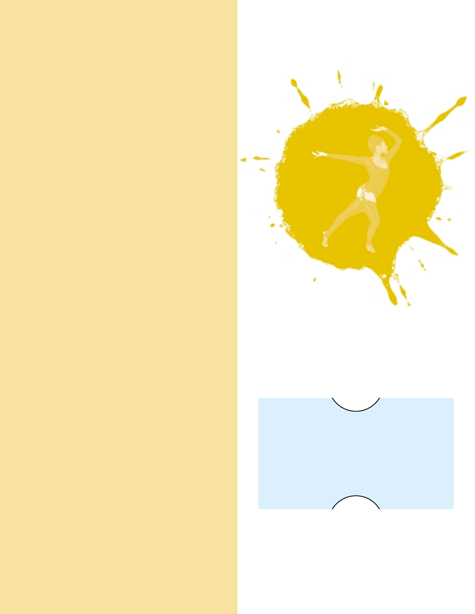